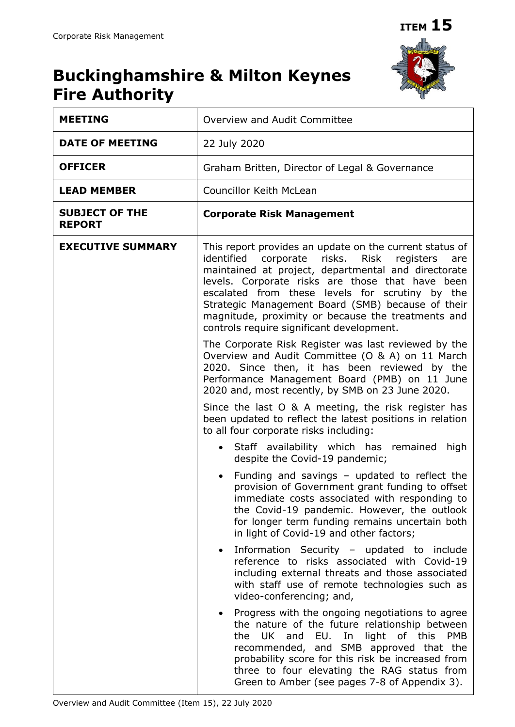$\overline{\phantom{a}}$ 



## **Buckinghamshire & Milton Keynes Fire Authority**

| <b>MEETING</b>                         | Overview and Audit Committee                                                                                                                                                                                                                                                                                                                                                                                                             |
|----------------------------------------|------------------------------------------------------------------------------------------------------------------------------------------------------------------------------------------------------------------------------------------------------------------------------------------------------------------------------------------------------------------------------------------------------------------------------------------|
| <b>DATE OF MEETING</b>                 | 22 July 2020                                                                                                                                                                                                                                                                                                                                                                                                                             |
| <b>OFFICER</b>                         | Graham Britten, Director of Legal & Governance                                                                                                                                                                                                                                                                                                                                                                                           |
| <b>LEAD MEMBER</b>                     | Councillor Keith McLean                                                                                                                                                                                                                                                                                                                                                                                                                  |
| <b>SUBJECT OF THE</b><br><b>REPORT</b> | <b>Corporate Risk Management</b>                                                                                                                                                                                                                                                                                                                                                                                                         |
| <b>EXECUTIVE SUMMARY</b>               | This report provides an update on the current status of<br>identified corporate risks.<br>Risk<br>registers<br>are<br>maintained at project, departmental and directorate<br>levels. Corporate risks are those that have been<br>escalated from these levels for scrutiny by the<br>Strategic Management Board (SMB) because of their<br>magnitude, proximity or because the treatments and<br>controls require significant development. |
|                                        | The Corporate Risk Register was last reviewed by the<br>Overview and Audit Committee (O & A) on 11 March<br>2020. Since then, it has been reviewed by the<br>Performance Management Board (PMB) on 11 June<br>2020 and, most recently, by SMB on 23 June 2020.                                                                                                                                                                           |
|                                        | Since the last O & A meeting, the risk register has<br>been updated to reflect the latest positions in relation<br>to all four corporate risks including:                                                                                                                                                                                                                                                                                |
|                                        | Staff availability which has remained<br>high<br>despite the Covid-19 pandemic;                                                                                                                                                                                                                                                                                                                                                          |
|                                        | Funding and savings - updated to reflect the<br>provision of Government grant funding to offset<br>immediate costs associated with responding to<br>the Covid-19 pandemic. However, the outlook<br>for longer term funding remains uncertain both<br>in light of Covid-19 and other factors;                                                                                                                                             |
|                                        | Information Security - updated to include<br>reference to risks associated with Covid-19<br>including external threats and those associated<br>with staff use of remote technologies such as<br>video-conferencing; and,                                                                                                                                                                                                                 |
|                                        | Progress with the ongoing negotiations to agree<br>the nature of the future relationship between<br>the UK and EU. In light of this PMB<br>recommended, and SMB approved that the<br>probability score for this risk be increased from<br>three to four elevating the RAG status from<br>Green to Amber (see pages 7-8 of Appendix 3).                                                                                                   |

 $\mathbf{l}$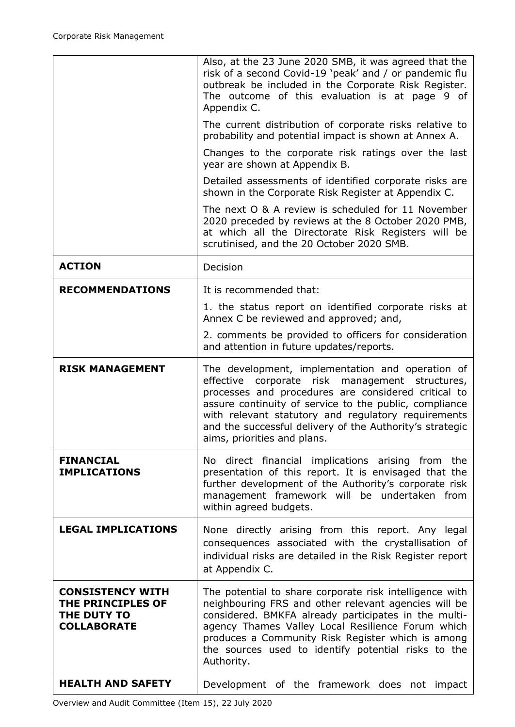|                                                                                   | Also, at the 23 June 2020 SMB, it was agreed that the<br>risk of a second Covid-19 'peak' and / or pandemic flu<br>outbreak be included in the Corporate Risk Register.<br>The outcome of this evaluation is at page 9 of<br>Appendix C.                                                                                                                                  |
|-----------------------------------------------------------------------------------|---------------------------------------------------------------------------------------------------------------------------------------------------------------------------------------------------------------------------------------------------------------------------------------------------------------------------------------------------------------------------|
|                                                                                   | The current distribution of corporate risks relative to<br>probability and potential impact is shown at Annex A.                                                                                                                                                                                                                                                          |
|                                                                                   | Changes to the corporate risk ratings over the last<br>year are shown at Appendix B.                                                                                                                                                                                                                                                                                      |
|                                                                                   | Detailed assessments of identified corporate risks are<br>shown in the Corporate Risk Register at Appendix C.                                                                                                                                                                                                                                                             |
|                                                                                   | The next O & A review is scheduled for 11 November<br>2020 preceded by reviews at the 8 October 2020 PMB,<br>at which all the Directorate Risk Registers will be<br>scrutinised, and the 20 October 2020 SMB.                                                                                                                                                             |
| <b>ACTION</b>                                                                     | Decision                                                                                                                                                                                                                                                                                                                                                                  |
| <b>RECOMMENDATIONS</b>                                                            | It is recommended that:                                                                                                                                                                                                                                                                                                                                                   |
|                                                                                   | 1. the status report on identified corporate risks at<br>Annex C be reviewed and approved; and,                                                                                                                                                                                                                                                                           |
|                                                                                   | 2. comments be provided to officers for consideration<br>and attention in future updates/reports.                                                                                                                                                                                                                                                                         |
| <b>RISK MANAGEMENT</b>                                                            | The development, implementation and operation of<br>effective<br>corporate risk management structures,<br>processes and procedures are considered critical to<br>assure continuity of service to the public, compliance<br>with relevant statutory and regulatory requirements<br>and the successful delivery of the Authority's strategic<br>aims, priorities and plans. |
| <b>FINANCIAL</b><br><b>IMPLICATIONS</b>                                           | No direct financial implications arising from the<br>presentation of this report. It is envisaged that the<br>further development of the Authority's corporate risk<br>management framework will be undertaken from<br>within agreed budgets.                                                                                                                             |
| <b>LEGAL IMPLICATIONS</b>                                                         | None directly arising from this report. Any legal<br>consequences associated with the crystallisation of<br>individual risks are detailed in the Risk Register report<br>at Appendix C.                                                                                                                                                                                   |
| <b>CONSISTENCY WITH</b><br>THE PRINCIPLES OF<br>THE DUTY TO<br><b>COLLABORATE</b> | The potential to share corporate risk intelligence with<br>neighbouring FRS and other relevant agencies will be<br>considered. BMKFA already participates in the multi-<br>agency Thames Valley Local Resilience Forum which<br>produces a Community Risk Register which is among<br>the sources used to identify potential risks to the<br>Authority.                    |
| <b>HEALTH AND SAFETY</b>                                                          | Development of the framework does not impact                                                                                                                                                                                                                                                                                                                              |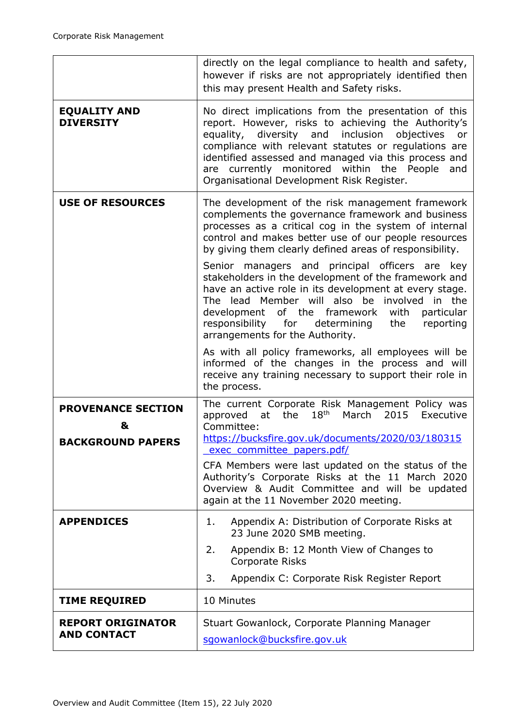|                                                     | directly on the legal compliance to health and safety,<br>however if risks are not appropriately identified then<br>this may present Health and Safety risks.                                                                                                                                                                                                                         |
|-----------------------------------------------------|---------------------------------------------------------------------------------------------------------------------------------------------------------------------------------------------------------------------------------------------------------------------------------------------------------------------------------------------------------------------------------------|
| <b>EQUALITY AND</b><br><b>DIVERSITY</b>             | No direct implications from the presentation of this<br>report. However, risks to achieving the Authority's<br>equality, diversity and inclusion<br>objectives<br>or<br>compliance with relevant statutes or regulations are<br>identified assessed and managed via this process and<br>are currently monitored within the People<br>and<br>Organisational Development Risk Register. |
| <b>USE OF RESOURCES</b>                             | The development of the risk management framework<br>complements the governance framework and business<br>processes as a critical cog in the system of internal<br>control and makes better use of our people resources<br>by giving them clearly defined areas of responsibility.                                                                                                     |
|                                                     | Senior managers and principal officers are<br>key<br>stakeholders in the development of the framework and<br>have an active role in its development at every stage.<br>The lead Member will also be involved in the<br>development of the framework<br>with<br>particular<br>responsibility<br>for<br>determining<br>the<br>reporting<br>arrangements for the Authority.              |
|                                                     | As with all policy frameworks, all employees will be<br>informed of the changes in the process and will<br>receive any training necessary to support their role in<br>the process.                                                                                                                                                                                                    |
| <b>PROVENANCE SECTION</b><br>&<br>BACKGROUND PAPERS | The current Corporate Risk Management Policy was<br>$18^{\sf th}$<br>2015<br>the<br>March<br>Executive<br>approved<br>at<br>Committee:<br>https://bucksfire.gov.uk/documents/2020/03/180315<br>exec committee papers.pdf/<br>CFA Members were last updated on the status of the<br>Authority's Corporate Risks at the 11 March 2020                                                   |
|                                                     | Overview & Audit Committee and will be updated<br>again at the 11 November 2020 meeting.                                                                                                                                                                                                                                                                                              |
| <b>APPENDICES</b>                                   | Appendix A: Distribution of Corporate Risks at<br>1.<br>23 June 2020 SMB meeting.                                                                                                                                                                                                                                                                                                     |
|                                                     | 2.<br>Appendix B: 12 Month View of Changes to<br>Corporate Risks                                                                                                                                                                                                                                                                                                                      |
|                                                     | 3.<br>Appendix C: Corporate Risk Register Report                                                                                                                                                                                                                                                                                                                                      |
| <b>TIME REQUIRED</b>                                | 10 Minutes                                                                                                                                                                                                                                                                                                                                                                            |
| <b>REPORT ORIGINATOR</b><br><b>AND CONTACT</b>      | Stuart Gowanlock, Corporate Planning Manager<br>sgowanlock@bucksfire.gov.uk                                                                                                                                                                                                                                                                                                           |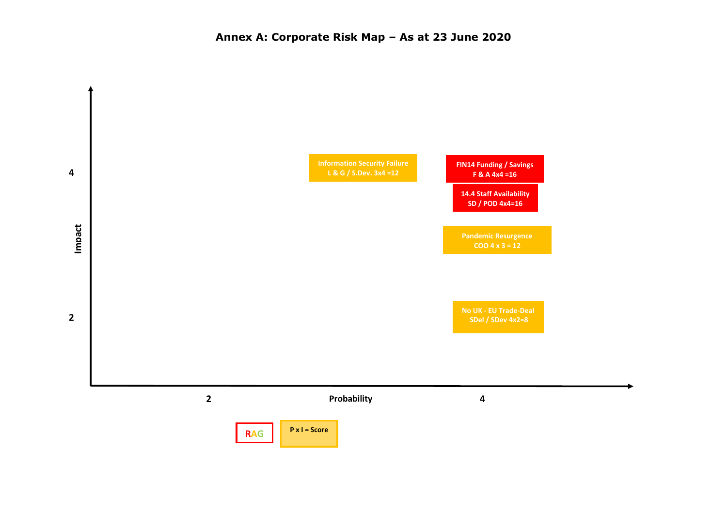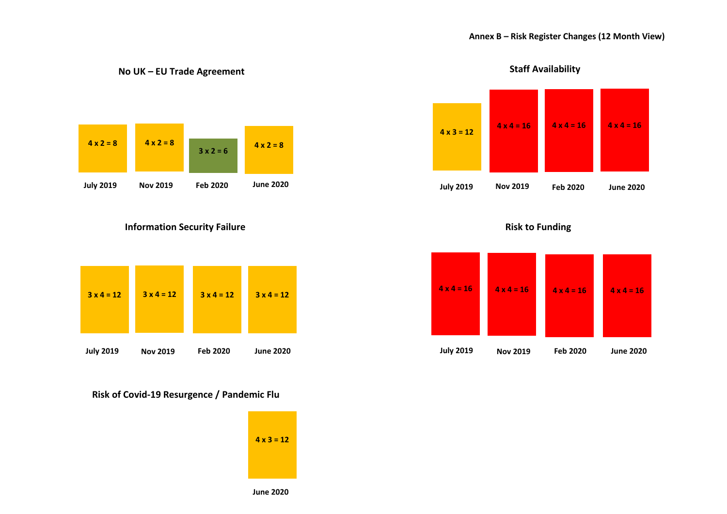

**No UK – EU Trade Agreement** 

**Information Security Failure**



## **Risk of Covid-19 Resurgence / Pandemic Flu**





**Risk to Funding**



**Staff Availability**

**June 2020**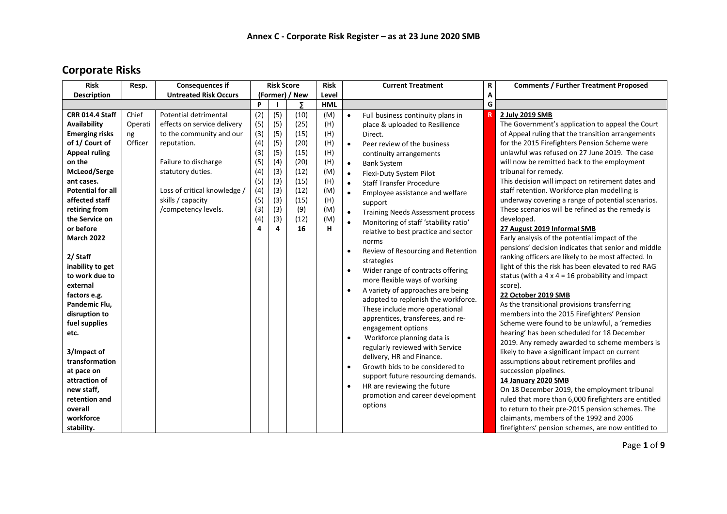## **Corporate Risks**

| <b>Risk</b>                                                                                                                                                                                                                                                                                                                                                                                                 | Resp.                             | <b>Consequences if</b>                                                                                                                       |                                               | <b>Risk Score</b>                             |                                                      | <b>Risk</b>                                   |                                                                                                                                | <b>Current Treatment</b>                                                                                                                                                                                                                                                                                                                                                                                                                                                                                                                                                                                                                                                                                                                                                    | R | <b>Comments / Further Treatment Proposed</b>                                                                                                                                                                                                                                                                                                                                                                                                                                                                                                                                                                                                                                                                                                                                                                                                                                                                                                                                                                                                                                                                                                                                                                                          |
|-------------------------------------------------------------------------------------------------------------------------------------------------------------------------------------------------------------------------------------------------------------------------------------------------------------------------------------------------------------------------------------------------------------|-----------------------------------|----------------------------------------------------------------------------------------------------------------------------------------------|-----------------------------------------------|-----------------------------------------------|------------------------------------------------------|-----------------------------------------------|--------------------------------------------------------------------------------------------------------------------------------|-----------------------------------------------------------------------------------------------------------------------------------------------------------------------------------------------------------------------------------------------------------------------------------------------------------------------------------------------------------------------------------------------------------------------------------------------------------------------------------------------------------------------------------------------------------------------------------------------------------------------------------------------------------------------------------------------------------------------------------------------------------------------------|---|---------------------------------------------------------------------------------------------------------------------------------------------------------------------------------------------------------------------------------------------------------------------------------------------------------------------------------------------------------------------------------------------------------------------------------------------------------------------------------------------------------------------------------------------------------------------------------------------------------------------------------------------------------------------------------------------------------------------------------------------------------------------------------------------------------------------------------------------------------------------------------------------------------------------------------------------------------------------------------------------------------------------------------------------------------------------------------------------------------------------------------------------------------------------------------------------------------------------------------------|
| <b>Description</b>                                                                                                                                                                                                                                                                                                                                                                                          |                                   | <b>Untreated Risk Occurs</b>                                                                                                                 |                                               |                                               | (Former) / New                                       | Level                                         |                                                                                                                                |                                                                                                                                                                                                                                                                                                                                                                                                                                                                                                                                                                                                                                                                                                                                                                             | А |                                                                                                                                                                                                                                                                                                                                                                                                                                                                                                                                                                                                                                                                                                                                                                                                                                                                                                                                                                                                                                                                                                                                                                                                                                       |
|                                                                                                                                                                                                                                                                                                                                                                                                             |                                   |                                                                                                                                              | P                                             |                                               | Σ                                                    | <b>HML</b>                                    |                                                                                                                                |                                                                                                                                                                                                                                                                                                                                                                                                                                                                                                                                                                                                                                                                                                                                                                             | G |                                                                                                                                                                                                                                                                                                                                                                                                                                                                                                                                                                                                                                                                                                                                                                                                                                                                                                                                                                                                                                                                                                                                                                                                                                       |
| <b>CRR 014.4 Staff</b><br>Availability<br><b>Emerging risks</b><br>of 1/ Court of<br><b>Appeal ruling</b><br>on the<br>McLeod/Serge                                                                                                                                                                                                                                                                         | Chief<br>Operati<br>ng<br>Officer | Potential detrimental<br>effects on service delivery<br>to the community and our<br>reputation.<br>Failure to discharge<br>statutory duties. | (2)<br>(5)<br>(3)<br>(4)<br>(3)<br>(5)<br>(4) | (5)<br>(5)<br>(5)<br>(5)<br>(5)<br>(4)<br>(3) | (10)<br>(25)<br>(15)<br>(20)<br>(15)<br>(20)<br>(12) | (M)<br>(H)<br>(H)<br>(H)<br>(H)<br>(H)<br>(M) | $\bullet$<br>$\bullet$<br>$\bullet$<br>$\bullet$                                                                               | Full business continuity plans in<br>place & uploaded to Resilience<br>Direct.<br>Peer review of the business<br>continuity arrangements<br><b>Bank System</b><br>Flexi-Duty System Pilot                                                                                                                                                                                                                                                                                                                                                                                                                                                                                                                                                                                   | R | 2 July 2019 SMB<br>The Government's application to appeal the Court<br>of Appeal ruling that the transition arrangements<br>for the 2015 Firefighters Pension Scheme were<br>unlawful was refused on 27 June 2019. The case<br>will now be remitted back to the employment<br>tribunal for remedy.                                                                                                                                                                                                                                                                                                                                                                                                                                                                                                                                                                                                                                                                                                                                                                                                                                                                                                                                    |
| ant cases.<br><b>Potential for all</b><br>affected staff<br>retiring from<br>the Service on<br>or before<br><b>March 2022</b><br>2/ Staff<br>inability to get<br>to work due to<br>external<br>factors e.g.<br>Pandemic Flu,<br>disruption to<br>fuel supplies<br>etc.<br>3/Impact of<br>transformation<br>at pace on<br>attraction of<br>new staff,<br>retention and<br>overall<br>workforce<br>stability. |                                   | Loss of critical knowledge /<br>skills / capacity<br>/competency levels.                                                                     | (5)<br>(4)<br>(5)<br>(3)<br>(4)<br>4          | (3)<br>(3)<br>(3)<br>(3)<br>(3)<br>4          | (15)<br>(12)<br>(15)<br>(9)<br>(12)<br>16            | (H)<br>(M)<br>(H)<br>(M)<br>(M)<br>н.         | $\bullet$<br>$\bullet$<br>$\bullet$<br>$\bullet$<br>$\bullet$<br>$\bullet$<br>$\bullet$<br>$\bullet$<br>$\bullet$<br>$\bullet$ | <b>Staff Transfer Procedure</b><br>Employee assistance and welfare<br>support<br><b>Training Needs Assessment process</b><br>Monitoring of staff 'stability ratio'<br>relative to best practice and sector<br>norms<br>Review of Resourcing and Retention<br>strategies<br>Wider range of contracts offering<br>more flexible ways of working<br>A variety of approaches are being<br>adopted to replenish the workforce.<br>These include more operational<br>apprentices, transferees, and re-<br>engagement options<br>Workforce planning data is<br>regularly reviewed with Service<br>delivery, HR and Finance.<br>Growth bids to be considered to<br>support future resourcing demands.<br>HR are reviewing the future<br>promotion and career development<br>options |   | This decision will impact on retirement dates and<br>staff retention. Workforce plan modelling is<br>underway covering a range of potential scenarios.<br>These scenarios will be refined as the remedy is<br>developed.<br>27 August 2019 Informal SMB<br>Early analysis of the potential impact of the<br>pensions' decision indicates that senior and middle<br>ranking officers are likely to be most affected. In<br>light of this the risk has been elevated to red RAG<br>status (with a $4 \times 4 = 16$ probability and impact<br>score).<br>22 October 2019 SMB<br>As the transitional provisions transferring<br>members into the 2015 Firefighters' Pension<br>Scheme were found to be unlawful, a 'remedies<br>hearing' has been scheduled for 18 December<br>2019. Any remedy awarded to scheme members is<br>likely to have a significant impact on current<br>assumptions about retirement profiles and<br>succession pipelines.<br>14 January 2020 SMB<br>On 18 December 2019, the employment tribunal<br>ruled that more than 6,000 firefighters are entitled<br>to return to their pre-2015 pension schemes. The<br>claimants, members of the 1992 and 2006<br>firefighters' pension schemes, are now entitled to |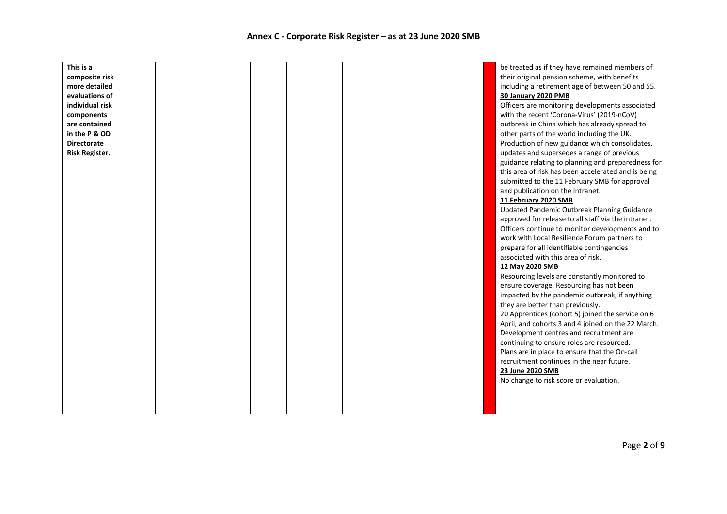| This is a          |  |  |  | be treated as if they have remained members of      |
|--------------------|--|--|--|-----------------------------------------------------|
| composite risk     |  |  |  | their original pension scheme, with benefits        |
| more detailed      |  |  |  | including a retirement age of between 50 and 55.    |
| evaluations of     |  |  |  | <b>30 January 2020 PMB</b>                          |
| individual risk    |  |  |  | Officers are monitoring developments associated     |
| components         |  |  |  | with the recent 'Corona-Virus' (2019-nCoV)          |
| are contained      |  |  |  | outbreak in China which has already spread to       |
| in the P & OD      |  |  |  | other parts of the world including the UK.          |
| <b>Directorate</b> |  |  |  | Production of new guidance which consolidates,      |
| Risk Register.     |  |  |  | updates and supersedes a range of previous          |
|                    |  |  |  | guidance relating to planning and preparedness for  |
|                    |  |  |  | this area of risk has been accelerated and is being |
|                    |  |  |  | submitted to the 11 February SMB for approval       |
|                    |  |  |  | and publication on the Intranet.                    |
|                    |  |  |  | 11 February 2020 SMB                                |
|                    |  |  |  | Updated Pandemic Outbreak Planning Guidance         |
|                    |  |  |  | approved for release to all staff via the intranet. |
|                    |  |  |  | Officers continue to monitor developments and to    |
|                    |  |  |  | work with Local Resilience Forum partners to        |
|                    |  |  |  | prepare for all identifiable contingencies          |
|                    |  |  |  | associated with this area of risk.                  |
|                    |  |  |  | 12 May 2020 SMB                                     |
|                    |  |  |  | Resourcing levels are constantly monitored to       |
|                    |  |  |  | ensure coverage. Resourcing has not been            |
|                    |  |  |  | impacted by the pandemic outbreak, if anything      |
|                    |  |  |  | they are better than previously.                    |
|                    |  |  |  | 20 Apprentices (cohort 5) joined the service on 6   |
|                    |  |  |  | April, and cohorts 3 and 4 joined on the 22 March.  |
|                    |  |  |  | Development centres and recruitment are             |
|                    |  |  |  | continuing to ensure roles are resourced.           |
|                    |  |  |  | Plans are in place to ensure that the On-call       |
|                    |  |  |  | recruitment continues in the near future.           |
|                    |  |  |  | 23 June 2020 SMB                                    |
|                    |  |  |  | No change to risk score or evaluation.              |
|                    |  |  |  |                                                     |
|                    |  |  |  |                                                     |
|                    |  |  |  |                                                     |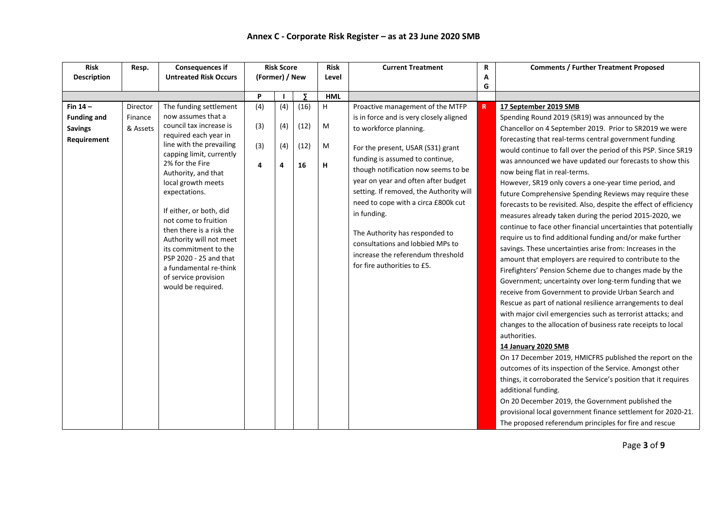| <b>Description</b><br>Fin $14-$<br>Director<br><b>Funding and</b><br>Finance | <b>Untreated Risk Occurs</b><br>The funding settlement<br>now assumes that a<br>council tax increase is                                                                                                                                                                                                                                                                                             | (Former) / New<br>P<br>(4) |                 | $\overline{z}$     | Level       |                                                                                                                                                                                                                                                                                                                                                                                               | A<br>G |                                                                                                                                                                                                                                                                                                                                                                                                                                                                                                                                                                                                                                                                                                                                                                                                                                                                                                                                                                                                                                                                                                                                                                                                                                                                                                                                                                                                                                                                                         |
|------------------------------------------------------------------------------|-----------------------------------------------------------------------------------------------------------------------------------------------------------------------------------------------------------------------------------------------------------------------------------------------------------------------------------------------------------------------------------------------------|----------------------------|-----------------|--------------------|-------------|-----------------------------------------------------------------------------------------------------------------------------------------------------------------------------------------------------------------------------------------------------------------------------------------------------------------------------------------------------------------------------------------------|--------|-----------------------------------------------------------------------------------------------------------------------------------------------------------------------------------------------------------------------------------------------------------------------------------------------------------------------------------------------------------------------------------------------------------------------------------------------------------------------------------------------------------------------------------------------------------------------------------------------------------------------------------------------------------------------------------------------------------------------------------------------------------------------------------------------------------------------------------------------------------------------------------------------------------------------------------------------------------------------------------------------------------------------------------------------------------------------------------------------------------------------------------------------------------------------------------------------------------------------------------------------------------------------------------------------------------------------------------------------------------------------------------------------------------------------------------------------------------------------------------------|
|                                                                              |                                                                                                                                                                                                                                                                                                                                                                                                     |                            |                 |                    |             |                                                                                                                                                                                                                                                                                                                                                                                               |        |                                                                                                                                                                                                                                                                                                                                                                                                                                                                                                                                                                                                                                                                                                                                                                                                                                                                                                                                                                                                                                                                                                                                                                                                                                                                                                                                                                                                                                                                                         |
|                                                                              |                                                                                                                                                                                                                                                                                                                                                                                                     |                            |                 |                    |             |                                                                                                                                                                                                                                                                                                                                                                                               |        |                                                                                                                                                                                                                                                                                                                                                                                                                                                                                                                                                                                                                                                                                                                                                                                                                                                                                                                                                                                                                                                                                                                                                                                                                                                                                                                                                                                                                                                                                         |
|                                                                              |                                                                                                                                                                                                                                                                                                                                                                                                     |                            |                 |                    | <b>HML</b>  |                                                                                                                                                                                                                                                                                                                                                                                               |        |                                                                                                                                                                                                                                                                                                                                                                                                                                                                                                                                                                                                                                                                                                                                                                                                                                                                                                                                                                                                                                                                                                                                                                                                                                                                                                                                                                                                                                                                                         |
|                                                                              |                                                                                                                                                                                                                                                                                                                                                                                                     |                            | (4)             | (16)               | H           | Proactive management of the MTFP                                                                                                                                                                                                                                                                                                                                                              | R      | 17 September 2019 SMB                                                                                                                                                                                                                                                                                                                                                                                                                                                                                                                                                                                                                                                                                                                                                                                                                                                                                                                                                                                                                                                                                                                                                                                                                                                                                                                                                                                                                                                                   |
|                                                                              |                                                                                                                                                                                                                                                                                                                                                                                                     |                            |                 |                    |             | is in force and is very closely aligned                                                                                                                                                                                                                                                                                                                                                       |        | Spending Round 2019 (SR19) was announced by the                                                                                                                                                                                                                                                                                                                                                                                                                                                                                                                                                                                                                                                                                                                                                                                                                                                                                                                                                                                                                                                                                                                                                                                                                                                                                                                                                                                                                                         |
| & Assets<br><b>Savings</b>                                                   |                                                                                                                                                                                                                                                                                                                                                                                                     |                            |                 |                    |             | to workforce planning.                                                                                                                                                                                                                                                                                                                                                                        |        | Chancellor on 4 September 2019. Prior to SR2019 we were                                                                                                                                                                                                                                                                                                                                                                                                                                                                                                                                                                                                                                                                                                                                                                                                                                                                                                                                                                                                                                                                                                                                                                                                                                                                                                                                                                                                                                 |
| Requirement                                                                  | required each year in<br>line with the prevailing<br>capping limit, currently<br>2% for the Fire<br>Authority, and that<br>local growth meets<br>expectations.<br>If either, or both, did<br>not come to fruition<br>then there is a risk the<br>Authority will not meet<br>its commitment to the<br>PSP 2020 - 25 and that<br>a fundamental re-think<br>of service provision<br>would be required. | (3)<br>(3)<br>4            | (4)<br>(4)<br>4 | (12)<br>(12)<br>16 | M<br>M<br>н | For the present, USAR (S31) grant<br>funding is assumed to continue,<br>though notification now seems to be<br>year on year and often after budget<br>setting. If removed, the Authority will<br>need to cope with a circa £800k cut<br>in funding.<br>The Authority has responded to<br>consultations and lobbied MPs to<br>increase the referendum threshold<br>for fire authorities to £5. |        | forecasting that real-terms central government funding<br>would continue to fall over the period of this PSP. Since SR19<br>was announced we have updated our forecasts to show this<br>now being flat in real-terms.<br>However, SR19 only covers a one-year time period, and<br>future Comprehensive Spending Reviews may require these<br>forecasts to be revisited. Also, despite the effect of efficiency<br>measures already taken during the period 2015-2020, we<br>continue to face other financial uncertainties that potentially<br>require us to find additional funding and/or make further<br>savings. These uncertainties arise from: Increases in the<br>amount that employers are required to contribute to the<br>Firefighters' Pension Scheme due to changes made by the<br>Government; uncertainty over long-term funding that we<br>receive from Government to provide Urban Search and<br>Rescue as part of national resilience arrangements to deal<br>with major civil emergencies such as terrorist attacks; and<br>changes to the allocation of business rate receipts to local<br>authorities.<br>14 January 2020 SMB<br>On 17 December 2019, HMICFRS published the report on the<br>outcomes of its inspection of the Service. Amongst other<br>things, it corroborated the Service's position that it requires<br>additional funding.<br>On 20 December 2019, the Government published the<br>provisional local government finance settlement for 2020-21. |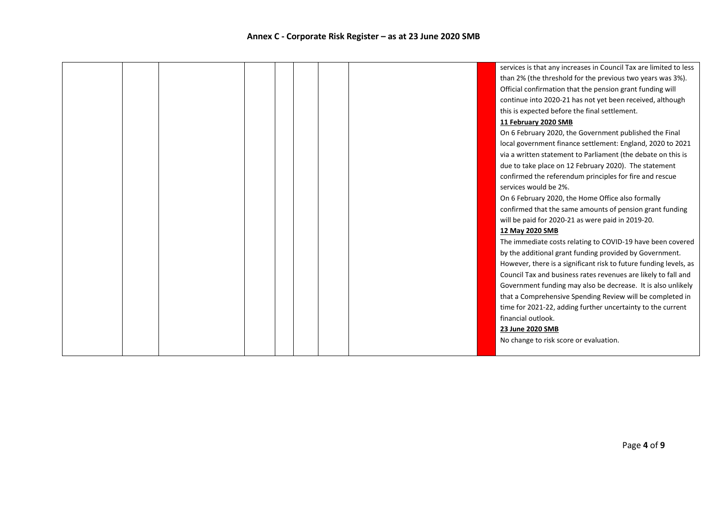|  |  |  |  | services is that any increases in Council Tax are limited to less |
|--|--|--|--|-------------------------------------------------------------------|
|  |  |  |  | than 2% (the threshold for the previous two years was 3%).        |
|  |  |  |  | Official confirmation that the pension grant funding will         |
|  |  |  |  | continue into 2020-21 has not yet been received, although         |
|  |  |  |  | this is expected before the final settlement.                     |
|  |  |  |  | 11 February 2020 SMB                                              |
|  |  |  |  | On 6 February 2020, the Government published the Final            |
|  |  |  |  | local government finance settlement: England, 2020 to 2021        |
|  |  |  |  | via a written statement to Parliament (the debate on this is      |
|  |  |  |  | due to take place on 12 February 2020). The statement             |
|  |  |  |  | confirmed the referendum principles for fire and rescue           |
|  |  |  |  | services would be 2%.                                             |
|  |  |  |  | On 6 February 2020, the Home Office also formally                 |
|  |  |  |  | confirmed that the same amounts of pension grant funding          |
|  |  |  |  | will be paid for 2020-21 as were paid in 2019-20.                 |
|  |  |  |  | 12 May 2020 SMB                                                   |
|  |  |  |  | The immediate costs relating to COVID-19 have been covered        |
|  |  |  |  | by the additional grant funding provided by Government.           |
|  |  |  |  | However, there is a significant risk to future funding levels, as |
|  |  |  |  | Council Tax and business rates revenues are likely to fall and    |
|  |  |  |  | Government funding may also be decrease. It is also unlikely      |
|  |  |  |  | that a Comprehensive Spending Review will be completed in         |
|  |  |  |  | time for 2021-22, adding further uncertainty to the current       |
|  |  |  |  | financial outlook.                                                |
|  |  |  |  | 23 June 2020 SMB                                                  |
|  |  |  |  | No change to risk score or evaluation.                            |
|  |  |  |  |                                                                   |
|  |  |  |  |                                                                   |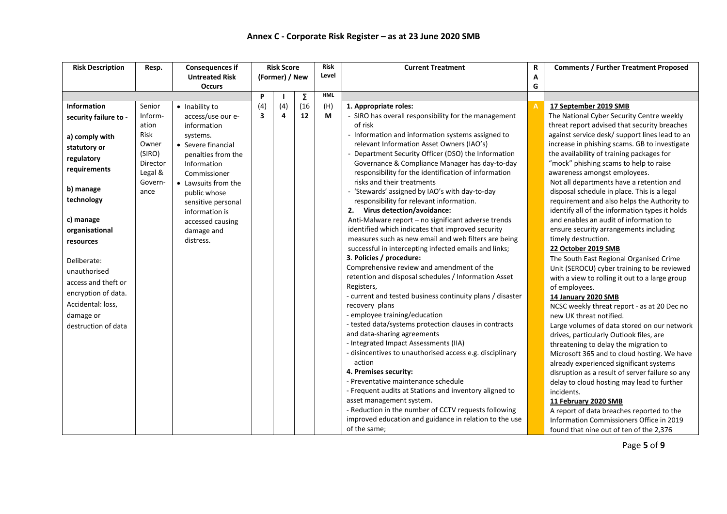| <b>Risk Description</b> | Resp.    | <b>Consequences if</b> |                         | <b>Risk Score</b> |          | <b>Risk</b> | <b>Current Treatment</b>                                  | R | <b>Comments / Further Treatment Proposed</b>    |
|-------------------------|----------|------------------------|-------------------------|-------------------|----------|-------------|-----------------------------------------------------------|---|-------------------------------------------------|
|                         |          | <b>Untreated Risk</b>  |                         | (Former) / New    |          | Level       |                                                           | А |                                                 |
|                         |          | <b>Occurs</b>          |                         |                   |          |             |                                                           | G |                                                 |
|                         |          |                        | P                       |                   | $\Sigma$ | <b>HML</b>  |                                                           |   |                                                 |
| <b>Information</b>      | Senior   | • Inability to         | (4)                     | (4)               | (16)     | (H)         | 1. Appropriate roles:                                     |   | 17 September 2019 SMB                           |
| security failure to -   | Inform-  | access/use our e-      | $\overline{\mathbf{3}}$ | 4                 | 12       | M           | - SIRO has overall responsibility for the management      |   | The National Cyber Security Centre weekly       |
|                         | ation    | information            |                         |                   |          |             | of risk                                                   |   | threat report advised that security breaches    |
| a) comply with          | Risk     | systems.               |                         |                   |          |             | - Information and information systems assigned to         |   | against service desk/ support lines lead to an  |
| statutory or            | Owner    | • Severe financial     |                         |                   |          |             | relevant Information Asset Owners (IAO's)                 |   | increase in phishing scams. GB to investigate   |
|                         | (SIRO)   | penalties from the     |                         |                   |          |             | Department Security Officer (DSO) the Information         |   | the availability of training packages for       |
| regulatory              | Director | Information            |                         |                   |          |             | Governance & Compliance Manager has day-to-day            |   | "mock" phishing scams to help to raise          |
| requirements            | Legal &  | Commissioner           |                         |                   |          |             | responsibility for the identification of information      |   | awareness amongst employees.                    |
|                         | Govern-  | • Lawsuits from the    |                         |                   |          |             | risks and their treatments                                |   | Not all departments have a retention and        |
| b) manage               | ance     | public whose           |                         |                   |          |             | 'Stewards' assigned by IAO's with day-to-day              |   | disposal schedule in place. This is a legal     |
| technology              |          | sensitive personal     |                         |                   |          |             | responsibility for relevant information.                  |   | requirement and also helps the Authority to     |
|                         |          | information is         |                         |                   |          |             | 2. Virus detection/avoidance:                             |   | identify all of the information types it holds  |
| c) manage               |          | accessed causing       |                         |                   |          |             | Anti-Malware report - no significant adverse trends       |   | and enables an audit of information to          |
| organisational          |          | damage and             |                         |                   |          |             | identified which indicates that improved security         |   | ensure security arrangements including          |
| resources               |          | distress.              |                         |                   |          |             | measures such as new email and web filters are being      |   | timely destruction.                             |
|                         |          |                        |                         |                   |          |             | successful in intercepting infected emails and links;     |   | 22 October 2019 SMB                             |
| Deliberate:             |          |                        |                         |                   |          |             | 3. Policies / procedure:                                  |   | The South East Regional Organised Crime         |
| unauthorised            |          |                        |                         |                   |          |             | Comprehensive review and amendment of the                 |   | Unit (SEROCU) cyber training to be reviewed     |
|                         |          |                        |                         |                   |          |             | retention and disposal schedules / Information Asset      |   | with a view to rolling it out to a large group  |
| access and theft or     |          |                        |                         |                   |          |             | Registers,                                                |   | of employees.                                   |
| encryption of data.     |          |                        |                         |                   |          |             | - current and tested business continuity plans / disaster |   | 14 January 2020 SMB                             |
| Accidental: loss,       |          |                        |                         |                   |          |             | recovery plans                                            |   | NCSC weekly threat report - as at 20 Dec no     |
| damage or               |          |                        |                         |                   |          |             | - employee training/education                             |   | new UK threat notified.                         |
| destruction of data     |          |                        |                         |                   |          |             | - tested data/systems protection clauses in contracts     |   | Large volumes of data stored on our network     |
|                         |          |                        |                         |                   |          |             | and data-sharing agreements                               |   | drives, particularly Outlook files, are         |
|                         |          |                        |                         |                   |          |             | - Integrated Impact Assessments (IIA)                     |   | threatening to delay the migration to           |
|                         |          |                        |                         |                   |          |             | - disincentives to unauthorised access e.g. disciplinary  |   | Microsoft 365 and to cloud hosting. We have     |
|                         |          |                        |                         |                   |          |             | action                                                    |   | already experienced significant systems         |
|                         |          |                        |                         |                   |          |             | 4. Premises security:                                     |   | disruption as a result of server failure so any |
|                         |          |                        |                         |                   |          |             | - Preventative maintenance schedule                       |   | delay to cloud hosting may lead to further      |
|                         |          |                        |                         |                   |          |             | - Frequent audits at Stations and inventory aligned to    |   | incidents.                                      |
|                         |          |                        |                         |                   |          |             | asset management system.                                  |   | 11 February 2020 SMB                            |
|                         |          |                        |                         |                   |          |             | - Reduction in the number of CCTV requests following      |   | A report of data breaches reported to the       |
|                         |          |                        |                         |                   |          |             | improved education and guidance in relation to the use    |   | Information Commissioners Office in 2019        |
|                         |          |                        |                         |                   |          |             | of the same;                                              |   | found that nine out of ten of the 2,376         |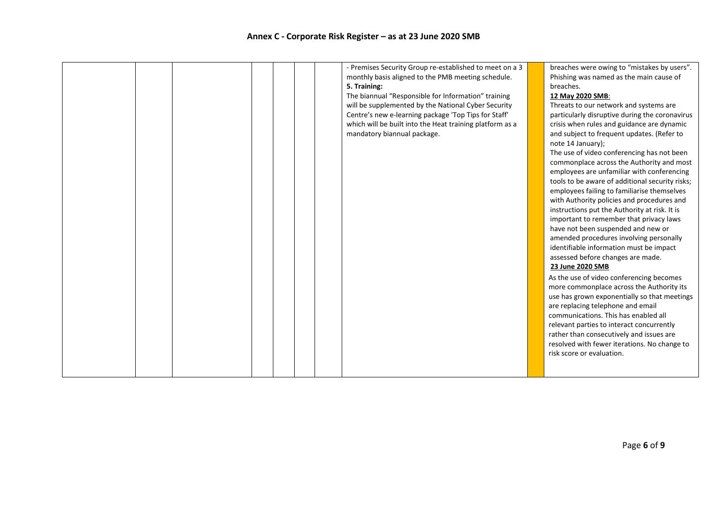|  |  |  |  |  |  |  | - Premises Security Group re-established to meet on a 3<br>monthly basis aligned to the PMB meeting schedule.<br>5. Training:<br>The biannual "Responsible for Information" training<br>will be supplemented by the National Cyber Security<br>Centre's new e-learning package 'Top Tips for Staff'<br>which will be built into the Heat training platform as a<br>mandatory biannual package. |  | breaches were owing to "mistakes by users".<br>Phishing was named as the main cause of<br>breaches.<br>12 May 2020 SMB:<br>Threats to our network and systems are<br>particularly disruptive during the coronavirus<br>crisis when rules and guidance are dynamic<br>and subject to frequent updates. (Refer to<br>note 14 January);<br>The use of video conferencing has not been<br>commonplace across the Authority and most<br>employees are unfamiliar with conferencing<br>tools to be aware of additional security risks;<br>employees failing to familiarise themselves<br>with Authority policies and procedures and<br>instructions put the Authority at risk. It is<br>important to remember that privacy laws<br>have not been suspended and new or<br>amended procedures involving personally<br>identifiable information must be impact<br>assessed before changes are made.<br>23 June 2020 SMB<br>As the use of video conferencing becomes<br>more commonplace across the Authority its<br>use has grown exponentially so that meetings<br>are replacing telephone and email<br>communications. This has enabled all<br>relevant parties to interact concurrently<br>rather than consecutively and issues are<br>resolved with fewer iterations. No change to<br>risk score or evaluation. |
|--|--|--|--|--|--|--|------------------------------------------------------------------------------------------------------------------------------------------------------------------------------------------------------------------------------------------------------------------------------------------------------------------------------------------------------------------------------------------------|--|------------------------------------------------------------------------------------------------------------------------------------------------------------------------------------------------------------------------------------------------------------------------------------------------------------------------------------------------------------------------------------------------------------------------------------------------------------------------------------------------------------------------------------------------------------------------------------------------------------------------------------------------------------------------------------------------------------------------------------------------------------------------------------------------------------------------------------------------------------------------------------------------------------------------------------------------------------------------------------------------------------------------------------------------------------------------------------------------------------------------------------------------------------------------------------------------------------------------------------------------------------------------------------------------------------|
|--|--|--|--|--|--|--|------------------------------------------------------------------------------------------------------------------------------------------------------------------------------------------------------------------------------------------------------------------------------------------------------------------------------------------------------------------------------------------------|--|------------------------------------------------------------------------------------------------------------------------------------------------------------------------------------------------------------------------------------------------------------------------------------------------------------------------------------------------------------------------------------------------------------------------------------------------------------------------------------------------------------------------------------------------------------------------------------------------------------------------------------------------------------------------------------------------------------------------------------------------------------------------------------------------------------------------------------------------------------------------------------------------------------------------------------------------------------------------------------------------------------------------------------------------------------------------------------------------------------------------------------------------------------------------------------------------------------------------------------------------------------------------------------------------------------|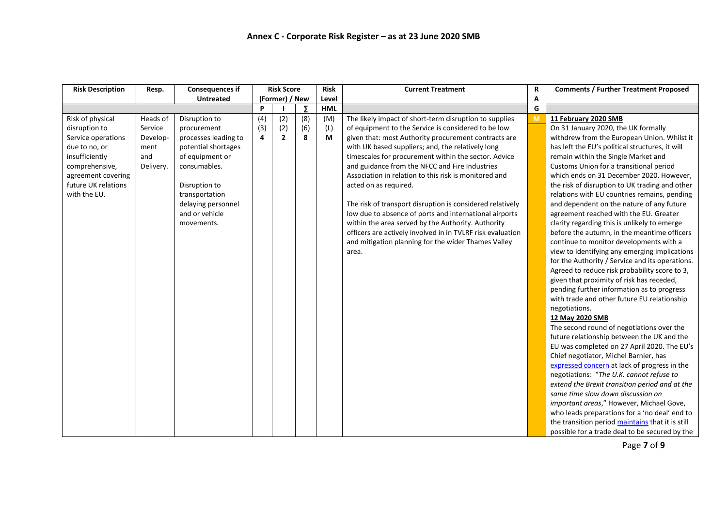| <b>Risk Description</b> | Resp.     | <b>Consequences if</b> |     | <b>Risk Score</b> |     | <b>Risk</b> | <b>Current Treatment</b>                                   | R | <b>Comments / Further Treatment Proposed</b>     |
|-------------------------|-----------|------------------------|-----|-------------------|-----|-------------|------------------------------------------------------------|---|--------------------------------------------------|
|                         |           | <b>Untreated</b>       |     | (Former) / New    |     | Level       |                                                            | Α |                                                  |
|                         |           |                        | P   |                   | - 2 | <b>HML</b>  |                                                            | G |                                                  |
| Risk of physical        | Heads of  | Disruption to          | (4) | (2)               | (8) | (M)         | The likely impact of short-term disruption to supplies     | M | 11 February 2020 SMB                             |
| disruption to           | Service   | procurement            | (3) | (2)               | (6) | (L)         | of equipment to the Service is considered to be low        |   | On 31 January 2020, the UK formally              |
| Service operations      | Develop-  | processes leading to   | 4   | $\overline{2}$    | 8   | М           | given that: most Authority procurement contracts are       |   | withdrew from the European Union. Whilst it      |
| due to no, or           | ment      | potential shortages    |     |                   |     |             | with UK based suppliers; and, the relatively long          |   | has left the EU's political structures, it will  |
| insufficiently          | and       | of equipment or        |     |                   |     |             | timescales for procurement within the sector. Advice       |   | remain within the Single Market and              |
| comprehensive,          | Delivery. | consumables.           |     |                   |     |             | and guidance from the NFCC and Fire Industries             |   | Customs Union for a transitional period          |
| agreement covering      |           |                        |     |                   |     |             | Association in relation to this risk is monitored and      |   | which ends on 31 December 2020. However,         |
| future UK relations     |           | Disruption to          |     |                   |     |             | acted on as required.                                      |   | the risk of disruption to UK trading and other   |
| with the EU.            |           | transportation         |     |                   |     |             |                                                            |   | relations with EU countries remains, pending     |
|                         |           | delaying personnel     |     |                   |     |             | The risk of transport disruption is considered relatively  |   | and dependent on the nature of any future        |
|                         |           | and or vehicle         |     |                   |     |             | low due to absence of ports and international airports     |   | agreement reached with the EU. Greater           |
|                         |           | movements.             |     |                   |     |             | within the area served by the Authority. Authority         |   | clarity regarding this is unlikely to emerge     |
|                         |           |                        |     |                   |     |             | officers are actively involved in in TVLRF risk evaluation |   | before the autumn, in the meantime officers      |
|                         |           |                        |     |                   |     |             | and mitigation planning for the wider Thames Valley        |   | continue to monitor developments with a          |
|                         |           |                        |     |                   |     |             | area.                                                      |   | view to identifying any emerging implications    |
|                         |           |                        |     |                   |     |             |                                                            |   | for the Authority / Service and its operations.  |
|                         |           |                        |     |                   |     |             |                                                            |   | Agreed to reduce risk probability score to 3,    |
|                         |           |                        |     |                   |     |             |                                                            |   | given that proximity of risk has receded,        |
|                         |           |                        |     |                   |     |             |                                                            |   | pending further information as to progress       |
|                         |           |                        |     |                   |     |             |                                                            |   | with trade and other future EU relationship      |
|                         |           |                        |     |                   |     |             |                                                            |   | negotiations.                                    |
|                         |           |                        |     |                   |     |             |                                                            |   | 12 May 2020 SMB                                  |
|                         |           |                        |     |                   |     |             |                                                            |   | The second round of negotiations over the        |
|                         |           |                        |     |                   |     |             |                                                            |   | future relationship between the UK and the       |
|                         |           |                        |     |                   |     |             |                                                            |   | EU was completed on 27 April 2020. The EU's      |
|                         |           |                        |     |                   |     |             |                                                            |   | Chief negotiator, Michel Barnier, has            |
|                         |           |                        |     |                   |     |             |                                                            |   | expressed concern at lack of progress in the     |
|                         |           |                        |     |                   |     |             |                                                            |   | negotiations: "The U.K. cannot refuse to         |
|                         |           |                        |     |                   |     |             |                                                            |   | extend the Brexit transition period and at the   |
|                         |           |                        |     |                   |     |             |                                                            |   | same time slow down discussion on                |
|                         |           |                        |     |                   |     |             |                                                            |   | important areas," However, Michael Gove,         |
|                         |           |                        |     |                   |     |             |                                                            |   | who leads preparations for a 'no deal' end to    |
|                         |           |                        |     |                   |     |             |                                                            |   | the transition period maintains that it is still |
|                         |           |                        |     |                   |     |             |                                                            |   | possible for a trade deal to be secured by the   |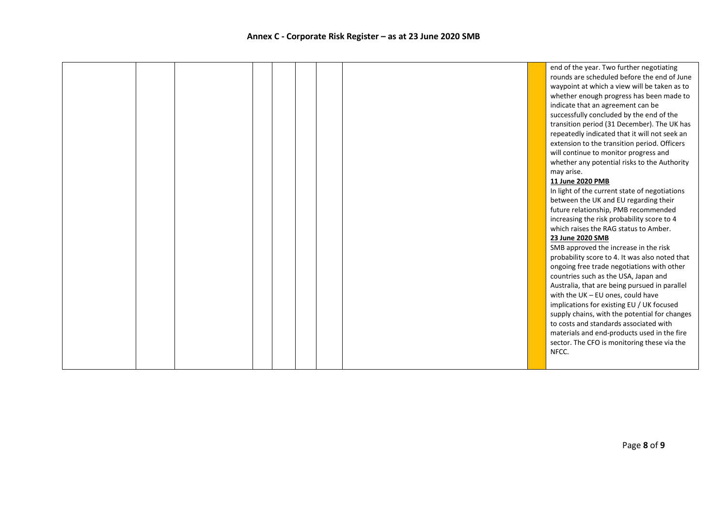|  |  |  |  | end of the year. Two further negotiating       |
|--|--|--|--|------------------------------------------------|
|  |  |  |  | rounds are scheduled before the end of June    |
|  |  |  |  | waypoint at which a view will be taken as to   |
|  |  |  |  | whether enough progress has been made to       |
|  |  |  |  | indicate that an agreement can be              |
|  |  |  |  | successfully concluded by the end of the       |
|  |  |  |  | transition period (31 December). The UK has    |
|  |  |  |  | repeatedly indicated that it will not seek an  |
|  |  |  |  | extension to the transition period. Officers   |
|  |  |  |  | will continue to monitor progress and          |
|  |  |  |  | whether any potential risks to the Authority   |
|  |  |  |  | may arise.                                     |
|  |  |  |  | 11 June 2020 PMB                               |
|  |  |  |  | In light of the current state of negotiations  |
|  |  |  |  |                                                |
|  |  |  |  | between the UK and EU regarding their          |
|  |  |  |  | future relationship, PMB recommended           |
|  |  |  |  | increasing the risk probability score to 4     |
|  |  |  |  | which raises the RAG status to Amber.          |
|  |  |  |  | 23 June 2020 SMB                               |
|  |  |  |  | SMB approved the increase in the risk          |
|  |  |  |  | probability score to 4. It was also noted that |
|  |  |  |  | ongoing free trade negotiations with other     |
|  |  |  |  | countries such as the USA, Japan and           |
|  |  |  |  | Australia, that are being pursued in parallel  |
|  |  |  |  | with the UK $-$ EU ones, could have            |
|  |  |  |  | implications for existing EU / UK focused      |
|  |  |  |  | supply chains, with the potential for changes  |
|  |  |  |  | to costs and standards associated with         |
|  |  |  |  | materials and end-products used in the fire    |
|  |  |  |  | sector. The CFO is monitoring these via the    |
|  |  |  |  | NFCC.                                          |
|  |  |  |  |                                                |
|  |  |  |  |                                                |